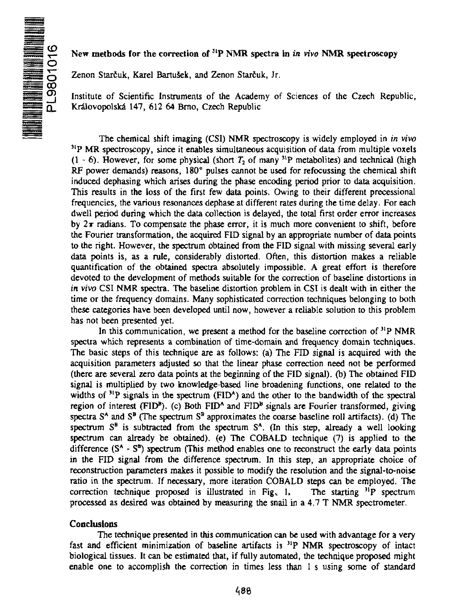## New methods for the correction of  $^{31}P$  NMR spectra in in vivo NMR spectroscopy

Zenon Starčuk, Karel Bartušek, and Zenon Starčuk, Jr.

Institute of Scientific Instruments of the Academy of Sciences of the Czech Republic, Královopolská 147, 612 64 Brno, Czech Republic

The chemical shift imaging (CSI) NMR spectroscopy is widely employed in *in vivo* <sup>31</sup>P MR spectroscopy, since it enables simultaneous acquisition of data from multiple voxels  $(1 - 6)$ . However, for some physical (short  $T_2$  of many <sup>31</sup>P metabolites) and technical (high RF power demands) reasons, 180° pulses cannot be used for refocussing the chemical shift induced dephasing which arises during the phase encoding period prior to data acquisition. This results in the loss of the first few data points. Owing to their different precessional frequencies, the various resonances dephase at different rates during the time delay. For each dwell period during which the data collection is delayed, the total first order error increases by 2x radians. To compensate the phase error, it is much more convenient to shift, before the Fourier transformation, the acquired FID signal by an appropriate number of data points to the right. However, the spectrum obtained from the FID signal with missing several early data points is, as a rule, considerably distorted. Often, this distortion makes a reliable quantification of the obtained spectra absolutely impossible. A great effort is therefore devoted to the development of methods suitable for the correction of baseline distortions in *in vivo* CSI NMR spectra. The baseline distortion problem in CSI is dealt with in either the time or the frequency domains. Many sophisticated correction techniques belonging to both these categories have been developed until now, however a reliable solution to this problem has not been presented yet.

In this communication, we present a method for the baseline correction of  $^{31}P$  NMR spectra which represents a combination of time-domain and frequency domain techniques. The basic steps of this technique are as follows: (a) The FID signal is acquired with the acquisition parameters adjusted so that the linear phase correction need not be performed (there are several zero data points at the beginning of the FID signal), (b) The obtained FID signal is multiplied by two knowledge-based line broadening functions, one related to the widths of  $^{31}P$  signals in the spectrum (FID<sup>A</sup>) and the other to the bandwidth of the spectral region of interest (FID<sup>B</sup>). (c) Both FID<sup>A</sup> and FID<sup>B</sup> signals are Fourier transformed, giving spectra  $S^A$  and  $S^B$  (The spectrum  $S^B$  approximates the coarse baseline roll artifacts), (d) The spectrum  $S^B$  is subtracted from the spectrum  $S^A$ . (In this step, already a well looking spectrum can already be obtained), (e) The COBALD technique (7) is applied to the difference  $(S^A - S^B)$  spectrum (This method enables one to reconstruct the early data points in the FID signal from the difference spectrum. In this step, an appropriate choice of reconstruction parameters makes it possible to modify the resolution and the signal-to-noise ratio in the spectrum. If necessary, more iteration COBALD steps can be employed. The correction technique proposed is illustrated in Fig.  $1$ . The starting  $31P$  spectrum processed as desired was obtained by measuring the snail in a 4.7 T NMR spectrometer.

## **Conclusions**

The technique presented in this communication can be used with advantage for a very fast and efficient minimization of baseline artifacts is <sup>31</sup>P NMR spectroscopy of intact biological tissues. It can be estimated that, if fully automated, the technique proposed might enable one to accomplish the correction in times less than 1 s using some of standard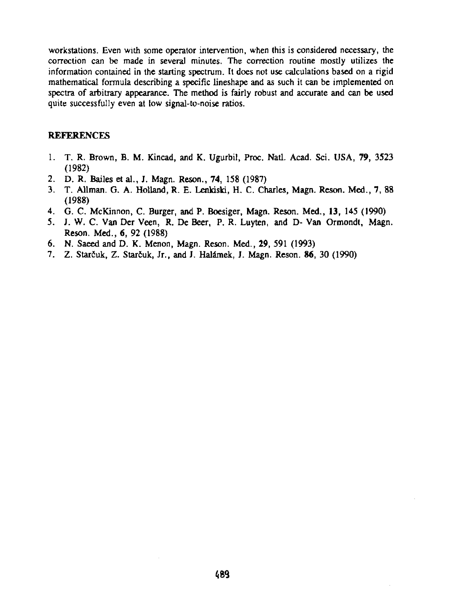workstations. Even with some operator intervention, when this is considered necessary, the correction can be made in several minutes. The correction routine mostly utilizes the information contained in the starting spectrum. It does not use calculations based on a rigid mathematical formula describing a specific lineshape and as such it can be implemented on spectra of arbitrary appearance. The method is fairly robust and accurate and can be used quite successfully even at low signal-to-noise ratios.

## **REFERENCES**

- 1. T. R. Brown, B. M. Kincad, and K. Ugurbil, Proc. Natl. Acad. Sci. USA, 79, 3523 (1982)
- 2. D. R. Bailes et al., J. Magn. Reson., 74, 158 (1987)
- 3. T. Allman, G. A. Holland, R. E. Lenkiski, H. C. Charles, Magn. Reson. Med., 7, 88 (1988)
- 4. G. C. McKinnon, C. Burger, and P. Boesiger, Magn. Reson. Med., 13, 145 (1990)
- 5. J. W. C. Van Der Veen, R. De Beer, P. R. Luyten, and D- Van Ormondt, Magn. Reson. Med., 6, 92 (1988)
- 6. N. Saeed and D. K. Menon, Magn. Reson. Med., 29, 591 (1993)
- 7. Z. Starcuk, Z. Starcuk, Jr., and I. Halamek, J. Magn. Reson. 86, 30 (1990)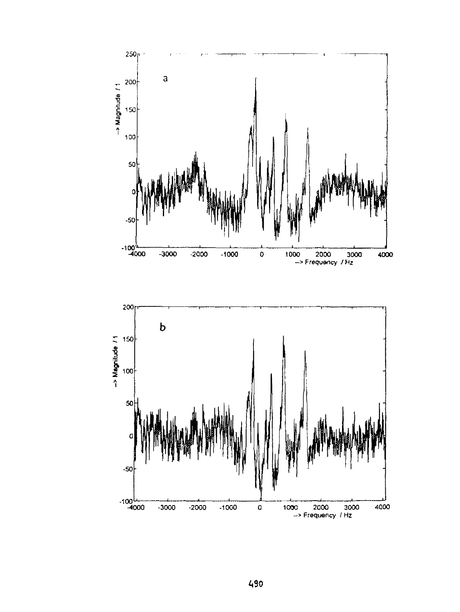